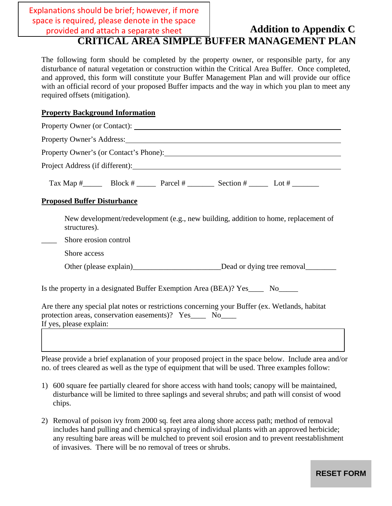**Addition to Appendix C C C** Explanations should be brief; however, if more space is required, please denote in the space

# **CRITICAL AREA SIMPLE BUFFER MANAGEMENT PLAN**

The following form should be completed by the property owner, or responsible party, for any disturbance of natural vegetation or construction within the Critical Area Buffer. Once completed, and approved, this form will constitute your Buffer Management Plan and will provide our office with an official record of your proposed Buffer impacts and the way in which you plan to meet any required offsets (mitigation).

# **Property Background Information**

 $\overline{\phantom{a}}$ 

| Property Owner's Address: 2008 and 2008 and 2008 and 2008 and 2008 and 2008 and 2008 and 2008 and 2008 and 200                                                                          |
|-----------------------------------------------------------------------------------------------------------------------------------------------------------------------------------------|
| Property Owner's (or Contact's Phone): 2008. [2010]                                                                                                                                     |
|                                                                                                                                                                                         |
| Tax Map $\#$ Block $\#$ Parcel $\#$ Parcel $\#$ Section $\#$ Lot $\#$                                                                                                                   |
| <b>Proposed Buffer Disturbance</b>                                                                                                                                                      |
| New development/redevelopment (e.g., new building, addition to home, replacement of<br>structures).                                                                                     |
| Shore erosion control<br>$\mathbb{R}^n$                                                                                                                                                 |
| Shore access                                                                                                                                                                            |
|                                                                                                                                                                                         |
| Is the property in a designated Buffer Exemption Area (BEA)? Yes______ No_______                                                                                                        |
| Are there any special plat notes or restrictions concerning your Buffer (ex. Wetlands, habitat<br>protection areas, conservation easements)? Yes_____ No____<br>If yes, please explain: |
|                                                                                                                                                                                         |

Please provide a brief explanation of your proposed project in the space below. Include area and/or no. of trees cleared as well as the type of equipment that will be used. Three examples follow:

- 1) 600 square fee partially cleared for shore access with hand tools; canopy will be maintained, disturbance will be limited to three saplings and several shrubs; and path will consist of wood chips.
- 2) Removal of poison ivy from 2000 sq. feet area along shore access path; method of removal includes hand pulling and chemical spraying of individual plants with an approved herbicide; any resulting bare areas will be mulched to prevent soil erosion and to prevent reestablishment of invasives. There will be no removal of trees or shrubs.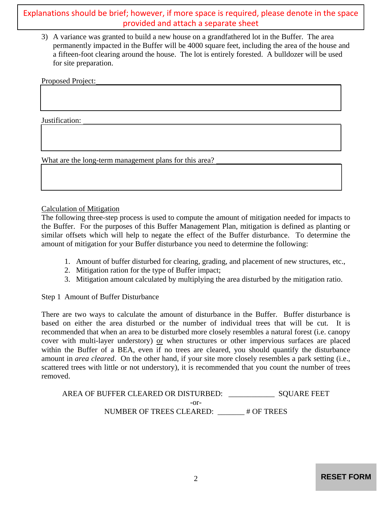provided and attach a separate sheet

3) A variance was granted to build a new house on a grandfathered lot in the Buffer. The area permanently impacted in the Buffer will be 4000 square feet, including the area of the house and a fifteen-foot clearing around the house. The lot is entirely forested. A bulldozer will be used for site preparation.

Proposed Project:

Justification:

What are the long-term management plans for this area?

### Calculation of Mitigation

The following three-step process is used to compute the amount of mitigation needed for impacts to the Buffer. For the purposes of this Buffer Management Plan, mitigation is defined as planting or similar offsets which will help to negate the effect of the Buffer disturbance. To determine the amount of mitigation for your Buffer disturbance you need to determine the following:

- 1. Amount of buffer disturbed for clearing, grading, and placement of new structures, etc.,
- 2. Mitigation ration for the type of Buffer impact;
- 3. Mitigation amount calculated by multiplying the area disturbed by the mitigation ratio.

Step 1 Amount of Buffer Disturbance

There are two ways to calculate the amount of disturbance in the Buffer. Buffer disturbance is based on either the area disturbed or the number of individual trees that will be cut. It is recommended that when an area to be disturbed more closely resembles a natural forest (i.e. canopy cover with multi-layer understory) or when structures or other impervious surfaces are placed within the Buffer of a BEA, even if no trees are cleared, you should quantify the disturbance amount in *area cleared*. On the other hand, if your site more closely resembles a park setting (i.e., scattered trees with little or not understory), it is recommended that you count the number of trees removed. **Explanations should be brief; however, if more space is required, please denote in the space<br>**  $\frac{3}{2}$  **A waisines we grown to hold a method and space is required in the islame.<br>
There were more as the space is required** 

AREA OF BUFFER CLEARED OR DISTURBED: SQUARE FEET -or-NUMBER OF TREES CLEARED: # OF TREES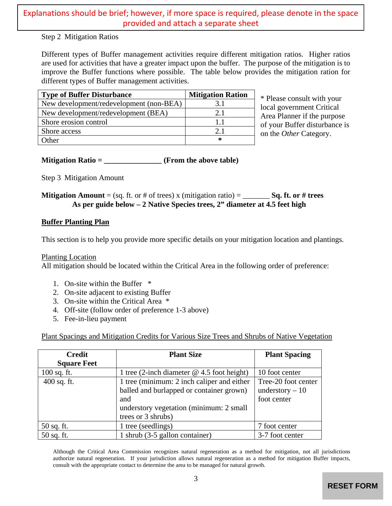| <b>Type of Buffer Disturbance</b>       | <b>Mitigation Ration</b> |
|-----------------------------------------|--------------------------|
| New development/redevelopment (non-BEA) | 3.1                      |
| New development/redevelopment (BEA)     | 2.1                      |
| Shore erosion control                   |                          |
| Shore access                            | 21                       |
| )ther                                   | ∗                        |

# **Buffer Planting Plan**

- 1. On-site within the Buffer \*
- 2. On-site adjacent to existing Buffer
- 3. On-site within the Critical Area \*
- 4. Off-site (follow order of preference 1-3 above)
- 5. Fee-in-lieu payment

| Step 2 Mitigation Ratios                                   |                                                                                                                                                                                                                                                                                                                                                                                                     |                          |                                                                                        |  |
|------------------------------------------------------------|-----------------------------------------------------------------------------------------------------------------------------------------------------------------------------------------------------------------------------------------------------------------------------------------------------------------------------------------------------------------------------------------------------|--------------------------|----------------------------------------------------------------------------------------|--|
|                                                            | Different types of Buffer management activities require different mitigation ratios. Higher ratios<br>are used for activities that have a greater impact upon the buffer. The purpose of the mitigation is to<br>improve the Buffer functions where possible. The table below provides the mitigation ration for<br>different types of Buffer management activities.                                |                          |                                                                                        |  |
| <b>Type of Buffer Disturbance</b>                          |                                                                                                                                                                                                                                                                                                                                                                                                     | <b>Mitigation Ration</b> |                                                                                        |  |
|                                                            | New development/redevelopment (non-BEA)                                                                                                                                                                                                                                                                                                                                                             | 3.1                      | * Please consult with your<br>local government Critical<br>Area Planner if the purpose |  |
| New development/redevelopment (BEA)                        |                                                                                                                                                                                                                                                                                                                                                                                                     | 2.1                      |                                                                                        |  |
| Shore erosion control                                      |                                                                                                                                                                                                                                                                                                                                                                                                     | 1.1                      | of your Buffer disturbance is                                                          |  |
| Shore access                                               |                                                                                                                                                                                                                                                                                                                                                                                                     | 2.1                      | on the Other Category.                                                                 |  |
| Other                                                      |                                                                                                                                                                                                                                                                                                                                                                                                     | $\ast$                   |                                                                                        |  |
|                                                            | Mitigation Ratio = $\frac{1}{\sqrt{1-\frac{1}{2}}\sqrt{1-\frac{1}{2}}\sqrt{1-\frac{1}{2}}\sqrt{1-\frac{1}{2}}\sqrt{1-\frac{1}{2}}\sqrt{1-\frac{1}{2}}\sqrt{1-\frac{1}{2}}\sqrt{1-\frac{1}{2}}\sqrt{1-\frac{1}{2}}\sqrt{1-\frac{1}{2}}\sqrt{1-\frac{1}{2}}\sqrt{1-\frac{1}{2}}\sqrt{1-\frac{1}{2}}\sqrt{1-\frac{1}{2}}\sqrt{1-\frac{1}{2}}\sqrt{1-\frac{1}{2}}\sqrt{1-\frac{1}{2}}\sqrt{1-\frac{1}{$ |                          |                                                                                        |  |
| Step 3 Mitigation Amount                                   |                                                                                                                                                                                                                                                                                                                                                                                                     |                          |                                                                                        |  |
|                                                            | <b>Mitigation Amount</b> = (sq. ft. or # of trees) x (mitigation ratio) = _______ Sq. ft. or # trees<br>As per guide below – 2 Native Species trees, 2" diameter at 4.5 feet high                                                                                                                                                                                                                   |                          |                                                                                        |  |
| <b>Buffer Planting Plan</b>                                |                                                                                                                                                                                                                                                                                                                                                                                                     |                          |                                                                                        |  |
|                                                            |                                                                                                                                                                                                                                                                                                                                                                                                     |                          |                                                                                        |  |
|                                                            | This section is to help you provide more specific details on your mitigation location and plantings.<br>All mitigation should be located within the Critical Area in the following order of preference:                                                                                                                                                                                             |                          |                                                                                        |  |
|                                                            |                                                                                                                                                                                                                                                                                                                                                                                                     |                          |                                                                                        |  |
| <b>Planting Location</b><br>1. On-site within the Buffer * |                                                                                                                                                                                                                                                                                                                                                                                                     |                          |                                                                                        |  |
|                                                            | 2. On-site adjacent to existing Buffer                                                                                                                                                                                                                                                                                                                                                              |                          |                                                                                        |  |
|                                                            | 3. On-site within the Critical Area *                                                                                                                                                                                                                                                                                                                                                               |                          |                                                                                        |  |
| 4.                                                         | Off-site (follow order of preference 1-3 above)                                                                                                                                                                                                                                                                                                                                                     |                          |                                                                                        |  |
| Fee-in-lieu payment<br>5.                                  |                                                                                                                                                                                                                                                                                                                                                                                                     |                          |                                                                                        |  |
|                                                            | Plant Spacings and Mitigation Credits for Various Size Trees and Shrubs of Native Vegetation                                                                                                                                                                                                                                                                                                        |                          |                                                                                        |  |
| <b>Credit</b>                                              |                                                                                                                                                                                                                                                                                                                                                                                                     | <b>Plant Size</b>        | <b>Plant Spacing</b>                                                                   |  |
| <b>Square Feet</b>                                         |                                                                                                                                                                                                                                                                                                                                                                                                     |                          |                                                                                        |  |
|                                                            | 1 tree (2-inch diameter $@$ 4.5 foot height)                                                                                                                                                                                                                                                                                                                                                        |                          | 10 foot center                                                                         |  |
|                                                            | 1 tree (minimum: 2 inch caliper and either                                                                                                                                                                                                                                                                                                                                                          |                          | Tree-20 foot center                                                                    |  |
|                                                            | balled and burlapped or container grown)                                                                                                                                                                                                                                                                                                                                                            |                          | understory $-10$                                                                       |  |
|                                                            | and                                                                                                                                                                                                                                                                                                                                                                                                 |                          | foot center                                                                            |  |
|                                                            | understory vegetation (minimum: 2 small                                                                                                                                                                                                                                                                                                                                                             |                          |                                                                                        |  |
|                                                            | trees or 3 shrubs)                                                                                                                                                                                                                                                                                                                                                                                  |                          |                                                                                        |  |
| 100 sq. ft.<br>400 sq. ft.<br>50 sq. ft.<br>50 sq. ft.     | 1 tree (seedlings)<br>$1$ shrub (3-5 gallon container)                                                                                                                                                                                                                                                                                                                                              |                          | 7 foot center<br>3-7 foot center                                                       |  |